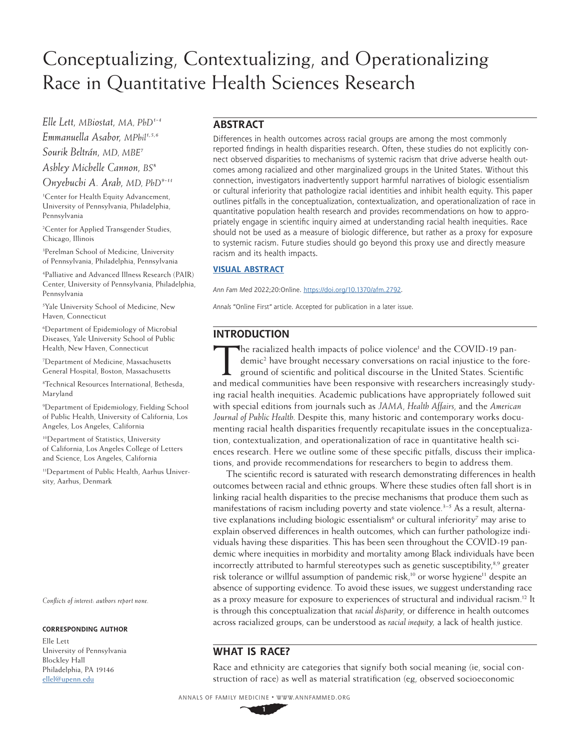# Conceptualizing, Contextualizing, and Operationalizing Race in Quantitative Health Sciences Research

*Elle Lett, MBiostat, MA, PhD1-4 Emmanuella Asabor, MPhil1,5,6 Sourik Beltrán, MD, MBE7 Ashley Michelle Cannon, BS8 Onyebuchi A. Arah, MD, PhD9-11*

1 Center for Health Equity Advancement, University of Pennsylvania, Philadelphia, Pennsylvania

2 Center for Applied Transgender Studies, Chicago, Illinois

3 Perelman School of Medicine, University of Pennsylvania, Philadelphia, Pennsylvania

4 Palliative and Advanced Illness Research (PAIR) Center, University of Pennsylvania, Philadelphia, Pennsylvania

5 Yale University School of Medicine, New Haven, Connecticut

6 Department of Epidemiology of Microbial Diseases, Yale University School of Public Health, New Haven, Connecticut

7 Department of Medicine, Massachusetts General Hospital, Boston, Massachusetts

8 Technical Resources International, Bethesda, Maryland

9 Department of Epidemiology, Fielding School of Public Health, University of California, Los Angeles, Los Angeles, California

10Department of Statistics, University of California, Los Angeles College of Letters and Science, Los Angeles, California

11Department of Public Health, Aarhus University, Aarhus, Denmark

*Conflicts of interest: authors report none.*

#### **CORRESPONDING AUTHOR**

Elle Lett University of Pennsylvania Blockley Hall Philadelphia, PA 19146 [ellel@upenn.edu](mailto:ellel%40upenn.edu?subject=)

# **ABSTRACT**

Differences in health outcomes across racial groups are among the most commonly reported findings in health disparities research. Often, these studies do not explicitly connect observed disparities to mechanisms of systemic racism that drive adverse health outcomes among racialized and other marginalized groups in the United States. Without this connection, investigators inadvertently support harmful narratives of biologic essentialism or cultural inferiority that pathologize racial identities and inhibit health equity. This paper outlines pitfalls in the conceptualization, contextualization, and operationalization of race in quantitative population health research and provides recommendations on how to appropriately engage in scientific inquiry aimed at understanding racial health inequities. Race should not be used as a measure of biologic difference, but rather as a proxy for exposure to systemic racism. Future studies should go beyond this proxy use and directly measure racism and its health impacts.

## **[VISUAL ABSTRACT](https://www.annfammed.org/lookup/suppl/doi:10.1370/afm.2792/-/DC1)**

*Ann Fam Med* 2022;20:Online. <https://doi.org/10.1370/afm.2792>.

*Annals* "Online First" article. Accepted for publication in a later issue.

# **INTRODUCTION**

The racialized health impacts of police violence<sup>1</sup> and the COVID-19 pan-<br>demic<sup>2</sup> have brought necessary conversations on racial injustice to the fa<br>ground of scientific and political discourse in the United States. Scien demic2 have brought necessary conversations on racial injustice to the foreground of scientific and political discourse in the United States. Scientific and medical communities have been responsive with researchers increasingly studying racial health inequities. Academic publications have appropriately followed suit with special editions from journals such as *JAMA*, *Health Affairs*, and the *American Journal of Public Health*. Despite this, many historic and contemporary works documenting racial health disparities frequently recapitulate issues in the conceptualization, contextualization, and operationalization of race in quantitative health sciences research. Here we outline some of these specific pitfalls, discuss their implications, and provide recommendations for researchers to begin to address them.

The scientific record is saturated with research demonstrating differences in health outcomes between racial and ethnic groups. Where these studies often fall short is in linking racial health disparities to the precise mechanisms that produce them such as manifestations of racism including poverty and state violence. $3-5$  As a result, alternative explanations including biologic essentialism<sup>6</sup> or cultural inferiority<sup>7</sup> may arise to explain observed differences in health outcomes, which can further pathologize individuals having these disparities. This has been seen throughout the COVID-19 pandemic where inequities in morbidity and mortality among Black individuals have been incorrectly attributed to harmful stereotypes such as genetic susceptibility, $8.9$  greater risk tolerance or willful assumption of pandemic risk,<sup>10</sup> or worse hygiene<sup>11</sup> despite an absence of supporting evidence. To avoid these issues, we suggest understanding race as a proxy measure for exposure to experiences of structural and individual racism[.12](https://www.zotero.org/google-docs/?MgCFKn) It is through this conceptualization that *racial disparity*, or difference in health outcomes across racialized groups, can be understood as *racial inequity,* a lack of health justice.

# **WHAT IS RACE?**

Race and ethnicity are categories that signify both social meaning (ie, social construction of race) as well as material stratification (eg, observed socioeconomic

ANNALS OF FAMILY MEDICINE ✦ WWW.ANNFAMMED.ORG

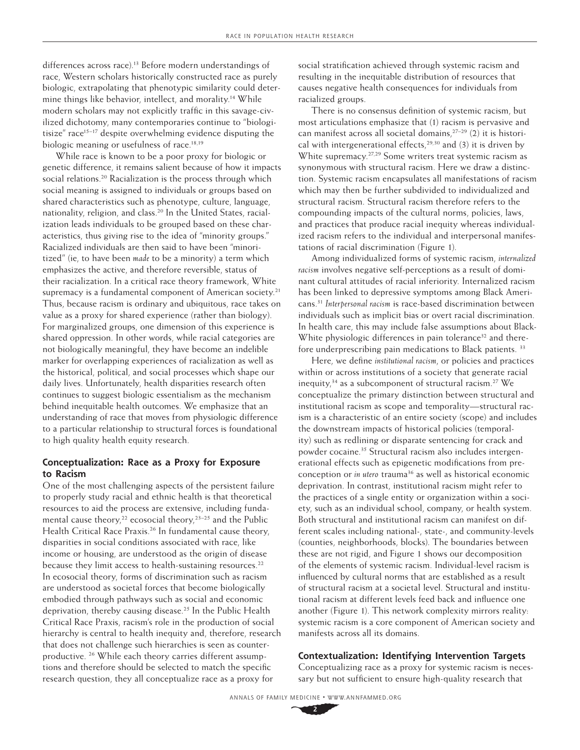differences across race).<sup>13</sup> Before modern understandings of race, Western scholars historically constructed race as purely biologic, extrapolating that phenotypic similarity could determine things like behavior, intellect, and morality.<sup>14</sup> While modern scholars may not explicitly traffic in this savage-civilized dichotomy, many contemporaries continue to "biologitisize" race<sup>15-17</sup> despite overwhelming evidence disputing the biologic meaning or usefulness of race.<sup>18,19</sup>

While race is known to be a poor proxy for biologic or genetic difference, it remains salient because of how it impacts social relations.<sup>[20](https://www.zotero.org/google-docs/?S60izY)</sup> Racialization is the process through which social meaning is assigned to individuals or groups based on shared characteristics such as phenotype, culture, language, nationality, religion, and class.<sup>20</sup> In the United States, racialization leads individuals to be grouped based on these characteristics, thus giving rise to the idea of "minority groups." Racialized individuals are then said to have been "minoritized" (ie, to have been *made* to be a minority) a term which emphasizes the active, and therefore reversible, status of their racialization. In a critical race theory framework, White supremacy is a fundamental component of American society.<sup>[21](https://www.zotero.org/google-docs/?zPHj7k)</sup> Thus, because racism is ordinary and ubiquitous, race takes on value as a proxy for shared experience (rather than biology). For marginalized groups, one dimension of this experience is shared oppression. In other words, while racial categories are not biologically meaningful, they have become an indelible marker for overlapping experiences of racialization as well as the historical, political, and social processes which shape our daily lives. Unfortunately, health disparities research often continues to suggest biologic essentialism as the mechanism behind inequitable health outcomes. We emphasize that an understanding of race that moves from physiologic difference to a particular relationship to structural forces is foundational to high quality health equity research.

# **Conceptualization: Race as a Proxy for Exposure to Racism**

One of the most challenging aspects of the persistent failure to properly study racial and ethnic health is that theoretical resources to aid the process are extensive, including fundamental cause theory,<sup>22</sup> ecosocial theory,<sup>23–25</sup> and the Public Health Critical Race Praxis.<sup>26</sup> In fundamental cause theory, disparities in social conditions associated with race, like income or housing, are understood as the origin of disease because they limit access to health-sustaining resources.<sup>22</sup> In ecosocial theory, forms of discrimination such as racism are understood as societal forces that become biologically embodied through pathways such as social and economic deprivation, thereby causing disease.<sup>[25](https://www.zotero.org/google-docs/?aQ4o61)</sup> In the Public Health Critical Race Praxis, racism's role in the production of social hierarchy is central to health inequity and, therefore, research that does not challenge such hierarchies is seen as counterproductive. [26](https://www.zotero.org/google-docs/?ar3pwg) While each theory carries different assumptions and therefore should be selected to match the specific research question, they all conceptualize race as a proxy for

social stratification achieved through systemic racism and resulting in the inequitable distribution of resources that causes negative health consequences for individuals from racialized groups.

There is no consensus definition of systemic racism, but most articulations emphasize that (1) racism is pervasive and can manifest across all societal domains,<sup>27-29</sup> (2) it is historical with intergenerational effects,<sup>29,30</sup> and (3) it is driven by White supremacy.27,29 Some writers treat systemic racism as synonymous with structural racism. Here we draw a distinction. Systemic racism encapsulates all manifestations of racism which may then be further subdivided to individualized and structural racism. Structural racism therefore refers to the compounding impacts of the cultural norms, policies, laws, and practices that produce racial inequity whereas individualized racism refers to the individual and interpersonal manifestations of racial discrimination (Figure 1).

Among individualized forms of systemic racism, *internalized racism* involves negative self-perceptions as a result of dominant cultural attitudes of racial inferiority. Internalized racism has been linked to depressive symptoms among Black Americans[.31](https://www.zotero.org/google-docs/?QcEvfH) *Interpersonal racism* is race-based discrimination between individuals such as implicit bias or overt racial discrimination. In health care, this may include false assumptions about Black-White physiologic differences in pain tolerance<sup>32</sup> and there-fore underprescribing pain medications to Black patients.<sup>[33](https://www.zotero.org/google-docs/?2UbzD1)</sup>

Here, we define *institutional racism*, or policies and practices within or across institutions of a society that generate racial inequity, $34$  as a subcomponent of structural racism.<sup>27</sup> We conceptualize the primary distinction between structural and institutional racism as scope and temporality—structural racism is a characteristic of an entire society (scope) and includes the downstream impacts of historical policies (temporality) such as redlining or disparate sentencing for crack and powder cocaine.<sup>35</sup> Structural racism also includes intergenerational effects such as epigenetic modifications from preconception or *in utero* trauma<sup>36</sup> as well as historical economic deprivation. In contrast, institutional racism might refer to the practices of a single entity or organization within a society, such as an individual school, company, or health system. Both structural and institutional racism can manifest on different scales including national-, state-, and community-levels (counties, neighborhoods, blocks). The boundaries between these are not rigid, and Figure 1 shows our decomposition of the elements of systemic racism. Individual-level racism is influenced by cultural norms that are established as a result of structural racism at a societal level. Structural and institutional racism at different levels feed back and influence one another (Figure 1). This network complexity mirrors reality: systemic racism is a core component of American society and manifests across all its domains.

## **Contextualization: Identifying Intervention Targets**

Conceptualizing race as a proxy for systemic racism is necessary but not sufficient to ensure high-quality research that

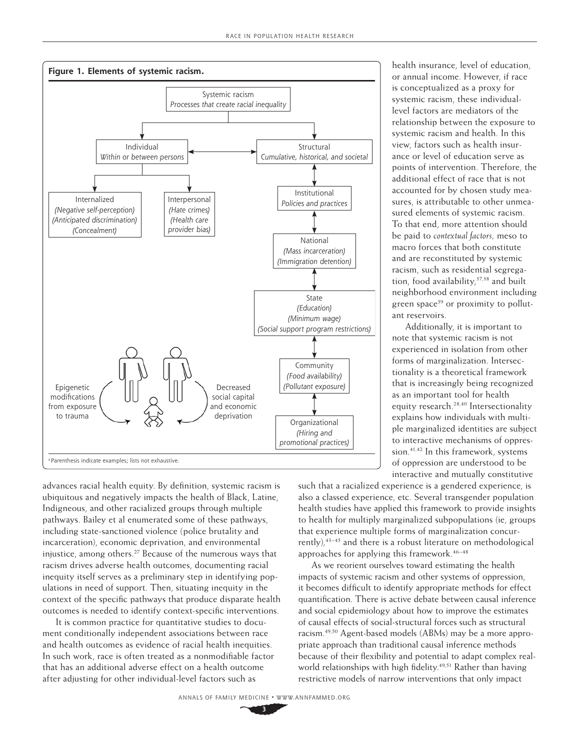

systemic racism, these individuallevel factors are mediators of the relationship between the exposure to systemic racism and health. In this view, factors such as health insurance or level of education serve as points of intervention. Therefore, the additional effect of race that is not accounted for by chosen study measures, is attributable to other unmeasured elements of systemic racism. To that end, more attention should be paid to *contextual factors,* meso to macro forces that both constitute and are reconstituted by systemic racism, such as residential segregation, food availability,<sup>37,38</sup> and built neighborhood environment including green space<sup>39</sup> or proximity to pollutant reservoirs. Additionally, it is important to note that systemic racism is not

health insurance, level of education, or annual income. However, if race is conceptualized as a proxy for

experienced in isolation from other forms of marginalization. Intersectionality is a theoretical framework that is increasingly being recognized as an important tool for health equity research.[28,40](https://www.zotero.org/google-docs/?Wt9UIY) Intersectionality explains how individuals with multiple marginalized identities are subject to interactive mechanisms of oppression.[41,42](https://www.zotero.org/google-docs/?5xC6lH) In this framework, systems of oppression are understood to be interactive and mutually constitutive

advances racial health equity. By definition, systemic racism is ubiquitous and negatively impacts the health of Black, Latine, Indigneous, and other racialized groups through multiple pathways. Bailey et al enumerated some of these pathways, including state-sanctioned violence (police brutality and incarceration), economic deprivation, and environmental injustice, among others.[27](https://www.zotero.org/google-docs/?AWV33e) Because of the numerous ways that racism drives adverse health outcomes, documenting racial inequity itself serves as a preliminary step in identifying populations in need of support. Then, situating inequity in the context of the specific pathways that produce disparate health outcomes is needed to identify context-specific interventions.

It is common practice for quantitative studies to document conditionally independent associations between race and health outcomes as evidence of racial health inequities. In such work, race is often treated as a nonmodifiable factor that has an additional adverse effect on a health outcome after adjusting for other individual-level factors such as

such that a racialized experience is a gendered experience, is also a classed experience, etc. Several transgender population health studies have applied this framework to provide insights to health for multiply marginalized subpopulations (ie, groups that experience multiple forms of marginalization concurrently),[43–45](https://www.zotero.org/google-docs/?96q5p9) and there is a robust literature on methodological approaches for applying this framework.<sup>46-48</sup>

As we reorient ourselves toward estimating the health impacts of systemic racism and other systems of oppression, it becomes difficult to identify appropriate methods for effect quantification. There is active debate between causal inference and social epidemiology about how to improve the estimates of causal effects of social-structural forces such as structural racism[.49,50](https://www.zotero.org/google-docs/?7zREoy) Agent-based models (ABMs) may be a more appropriate approach than traditional causal inference methods because of their flexibility and potential to adapt complex real-world relationships with high fidelity.<sup>[49,51](https://www.zotero.org/google-docs/?qrEoqC)</sup> Rather than having restrictive models of narrow interventions that only impact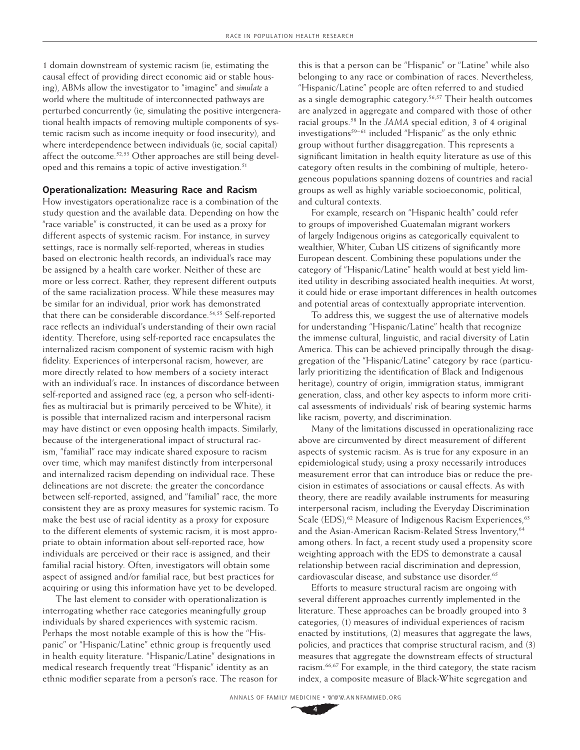1 domain downstream of systemic racism (ie, estimating the causal effect of providing direct economic aid or stable housing), ABMs allow the investigator to "imagine" and *simulate* a world where the multitude of interconnected pathways are perturbed concurrently (ie, simulating the positive intergenerational health impacts of removing multiple components of systemic racism such as income inequity or food insecurity), and where interdependence between individuals (ie, social capital) affect the outcome.<sup>[52,53](https://www.zotero.org/google-docs/?xjSm1Q)</sup> Other approaches are still being developed and this remains a topic of active investigation.<sup>51</sup>

#### **Operationalization: Measuring Race and Racism**

How investigators operationalize race is a combination of the study question and the available data. Depending on how the "race variable" is constructed, it can be used as a proxy for different aspects of systemic racism. For instance, in survey settings, race is normally self-reported, whereas in studies based on electronic health records, an individual's race may be assigned by a health care worker. Neither of these are more or less correct. Rather, they represent different outputs of the same racialization process. While these measures may be similar for an individual, prior work has demonstrated that there can be considerable discordance.<sup>54,55</sup> Self-reported race reflects an individual's understanding of their own racial identity. Therefore, using self-reported race encapsulates the internalized racism component of systemic racism with high fidelity. Experiences of interpersonal racism, however, are more directly related to how members of a society interact with an individual's race. In instances of discordance between self-reported and assigned race (eg, a person who self-identifies as multiracial but is primarily perceived to be White), it is possible that internalized racism and interpersonal racism may have distinct or even opposing health impacts. Similarly, because of the intergenerational impact of structural racism, "familial" race may indicate shared exposure to racism over time, which may manifest distinctly from interpersonal and internalized racism depending on individual race. These delineations are not discrete: the greater the concordance between self-reported, assigned, and "familial" race, the more consistent they are as proxy measures for systemic racism. To make the best use of racial identity as a proxy for exposure to the different elements of systemic racism, it is most appropriate to obtain information about self-reported race, how individuals are perceived or their race is assigned, and their familial racial history. Often, investigators will obtain some aspect of assigned and/or familial race, but best practices for acquiring or using this information have yet to be developed.

The last element to consider with operationalization is interrogating whether race categories meaningfully group individuals by shared experiences with systemic racism. Perhaps the most notable example of this is how the "Hispanic" or "Hispanic/Latine" ethnic group is frequently used in health equity literature. "Hispanic/Latine" designations in medical research frequently treat "Hispanic" identity as an ethnic modifier separate from a person's race. The reason for this is that a person can be "Hispanic" or "Latine" while also belonging to any race or combination of races. Nevertheless, "Hispanic/Latine" people are often referred to and studied as a single demographic category.<sup>56,57</sup> Their health outcomes are analyzed in aggregate and compared with those of other racial groups[.58](https://www.zotero.org/google-docs/?8yOHCn) In the *JAMA* special edition, 3 of 4 original investigations $59-61$  included "Hispanic" as the only ethnic group without further disaggregation. This represents a significant limitation in health equity literature as use of this category often results in the combining of multiple, heterogeneous populations spanning dozens of countries and racial groups as well as highly variable socioeconomic, political, and cultural contexts.

For example, research on "Hispanic health" could refer to groups of impoverished Guatemalan migrant workers of largely Indigenous origins as categorically equivalent to wealthier, Whiter, Cuban US citizens of significantly more European descent. Combining these populations under the category of "Hispanic/Latine" health would at best yield limited utility in describing associated health inequities. At worst, it could hide or erase important differences in health outcomes and potential areas of contextually appropriate intervention.

To address this, we suggest the use of alternative models for understanding "Hispanic/Latine" health that recognize the immense cultural, linguistic, and racial diversity of Latin America. This can be achieved principally through the disaggregation of the "Hispanic/Latine" category by race (particularly prioritizing the identification of Black and Indigenous heritage), country of origin, immigration status, immigrant generation, class, and other key aspects to inform more critical assessments of individuals' risk of bearing systemic harms like racism, poverty, and discrimination.

Many of the limitations discussed in operationalizing race above are circumvented by direct measurement of different aspects of systemic racism. As is true for any exposure in an epidemiological study; using a proxy necessarily introduces measurement error that can introduce bias or reduce the precision in estimates of associations or causal effects. As with theory, there are readily available instruments for measuring interpersonal racism, including the Everyday Discrimination Scale (EDS),<sup>62</sup> Measure of Indigenous Racism Experiences,<sup>[63](https://www.zotero.org/google-docs/?0eK9WC)</sup> and the Asian-American Racism-Related Stress Inventory,<sup>[64](https://www.zotero.org/google-docs/?TyzYvm)</sup> among others. In fact, a recent study used a propensity score weighting approach with the EDS to demonstrate a causal relationship between racial discrimination and depression, cardiovascular disease, and substance use disorder.<sup>[65](https://www.zotero.org/google-docs/?p48FNf)</sup>

Efforts to measure structural racism are ongoing with several different approaches currently implemented in the literature. These approaches can be broadly grouped into 3 categories, (1) measures of individual experiences of racism enacted by institutions, (2) measures that aggregate the laws, policies, and practices that comprise structural racism, and (3) measures that aggregate the downstream effects of structural racism.[66,67](https://www.zotero.org/google-docs/?TXYeGa) For example, in the third category, the state racism index, a composite measure of Black-White segregation and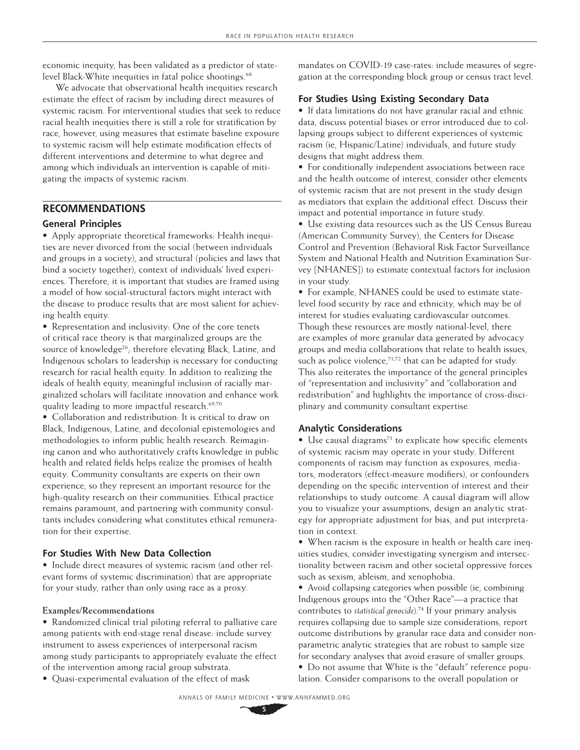economic inequity, has been validated as a predictor of state-level Black-White inequities in fatal police shootings.<sup>[68](https://www.zotero.org/google-docs/?9rCPJh)</sup>

We advocate that observational health inequities research estimate the effect of racism by including direct measures of systemic racism. For interventional studies that seek to reduce racial health inequities there is still a role for stratification by race, however, using measures that estimate baseline exposure to systemic racism will help estimate modification effects of different interventions and determine to what degree and among which individuals an intervention is capable of mitigating the impacts of systemic racism.

# **RECOMMENDATIONS**

# **General Principles**

• Apply appropriate theoretical frameworks: Health inequities are never divorced from the social (between individuals and groups in a society), and structural (policies and laws that bind a society together), context of individuals' lived experiences. Therefore, it is important that studies are framed using a model of how social-structural factors might interact with the disease to produce results that are most salient for achieving health equity.

• Representation and inclusivity: One of the core tenets of critical race theory is that marginalized groups are the source of knowledge<sup>[26](https://www.zotero.org/google-docs/?PLfbR7)</sup>; therefore elevating Black, Latine, and Indigenous scholars to leadership is necessary for conducting research for racial health equity. In addition to realizing the ideals of health equity, meaningful inclusion of racially marginalized scholars will facilitate innovation and enhance work quality leading to more impactful research.<sup>69,70</sup>

• Collaboration and redistribution: It is critical to draw on Black, Indigenous, Latine, and decolonial epistemologies and methodologies to inform public health research. Reimagining canon and who authoritatively crafts knowledge in public health and related fields helps realize the promises of health equity. Community consultants are experts on their own experience, so they represent an important resource for the high-quality research on their communities. Ethical practice remains paramount, and partnering with community consultants includes considering what constitutes ethical remuneration for their expertise.

## **For Studies With New Data Collection**

• Include direct measures of systemic racism (and other relevant forms of systemic discrimination) that are appropriate for your study, rather than only using race as a proxy.

## **Examples/Recommendations**

• Randomized clinical trial piloting referral to palliative care among patients with end-stage renal disease: include survey instrument to assess experiences of interpersonal racism among study participants to appropriately evaluate the effect of the intervention among racial group substrata.

• Quasi-experimental evaluation of the effect of mask

mandates on COVID-19 case-rates: include measures of segregation at the corresponding block group or census tract level.

# **For Studies Using Existing Secondary Data**

• If data limitations do not have granular racial and ethnic data, discuss potential biases or error introduced due to collapsing groups subject to different experiences of systemic racism (ie, Hispanic/Latine) individuals, and future study designs that might address them.

• For conditionally independent associations between race and the health outcome of interest, consider other elements of systemic racism that are not present in the study design as mediators that explain the additional effect. Discuss their impact and potential importance in future study.

• Use existing data resources such as the US Census Bureau (American Community Survey), the Centers for Disease Control and Prevention (Behavioral Risk Factor Surveillance System and National Health and Nutrition Examination Survey [NHANES]) to estimate contextual factors for inclusion in your study.

• For example, NHANES could be used to estimate statelevel food security by race and ethnicity, which may be of interest for studies evaluating cardiovascular outcomes. Though these resources are mostly national-level, there are examples of more granular data generated by advocacy groups and media collaborations that relate to health issues, such as police violence, $71,72$  that can be adapted for study. This also reiterates the importance of the general principles of "representation and inclusivity" and "collaboration and redistribution" and highlights the importance of cross-disciplinary and community consultant expertise.

## **Analytic Considerations**

 $\bullet$  Use causal diagrams<sup>73</sup> to explicate how specific elements of systemic racism may operate in your study. Different components of racism may function as exposures, mediators, moderators (effect-measure modifiers), or confounders depending on the specific intervention of interest and their relationships to study outcome. A causal diagram will allow you to visualize your assumptions, design an analytic strategy for appropriate adjustment for bias, and put interpretation in context.

• When racism is the exposure in health or health care inequities studies, consider investigating synergism and intersectionality between racism and other societal oppressive forces such as sexism, ableism, and xenophobia.

• Avoid collapsing categories when possible (ie, combining Indigenous groups into the "Other Race"—a practice that contributes to *statistical genocide*).74 If your primary analysis requires collapsing due to sample size considerations, report outcome distributions by granular race data and consider nonparametric analytic strategies that are robust to sample size for secondary analyses that avoid erasure of smaller groups. • Do not assume that White is the "default" reference population. Consider comparisons to the overall population or

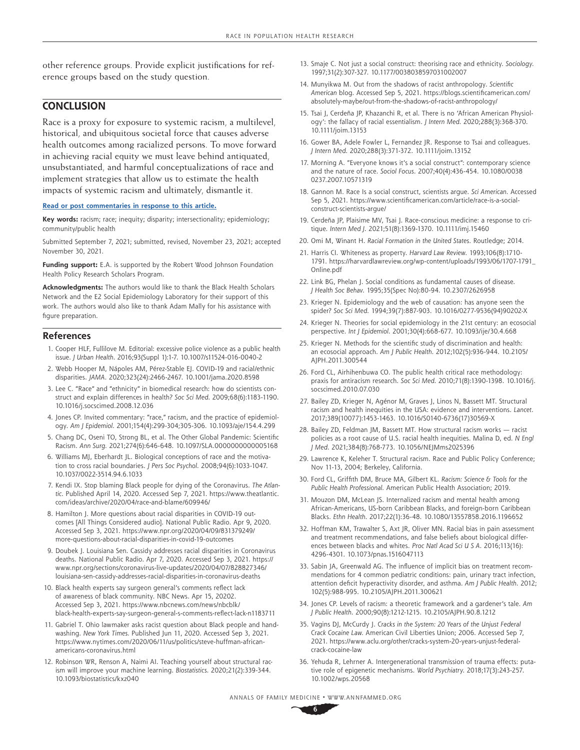other reference groups. Provide explicit justifications for reference groups based on the study question.

# **CONCLUSION**

Race is a proxy for exposure to systemic racism, a multilevel, historical, and ubiquitous societal force that causes adverse health outcomes among racialized persons. To move forward in achieving racial equity we must leave behind antiquated, unsubstantiated, and harmful conceptualizations of race and implement strategies that allow us to estimate the health impacts of systemic racism and ultimately, dismantle it.

#### **[Read or post commentaries in response to this article.](https://doi.org/10.1370/afm.2792)**

**Key words:** racism; race; inequity; disparity; intersectionality; epidemiology; community/public health

Submitted September 7, 2021; submitted, revised, November 23, 2021; accepted November 30, 2021.

**Funding support:** E.A. is supported by the Robert Wood Johnson Foundation Health Policy Research Scholars Program.

**Acknowledgments:** The authors would like to thank the Black Health Scholars Network and the E2 Social Epidemiology Laboratory for their support of this work. The authors would also like to thank Adam Mally for his assistance with figure preparation.

#### **References**

- 1. Cooper HLF, Fullilove M. Editorial: excessive police violence as a public health issue. *J Urban Health*. 2016;93(Suppl 1):1-7. [10.1007/s11524-016-0040-2](http://doi.org/10.1007/s11524-016-0040-2)
- 2. Webb Hooper M, Nápoles AM, Pérez-Stable EJ. COVID-19 and racial/ethnic disparities. *JAMA*. 2020;323(24):2466-2467. 1[0.1001/jama.2020.8598](http://doi.org/10.1001/jama.2020.8598)
- 3. Lee C. "Race" and "ethnicity" in biomedical research: how do scientists construct and explain differences in health? *Soc Sci Med*. 2009;68(6):1183-1190. [10.1016/j.socscimed.2008.12.036](http://doi.org/10.1016/j.socscimed.2008.12.036)
- 4. Jones CP. Invited commentary: "race," racism, and the practice of epidemiology. *Am J Epidemiol*. 2001;154(4):299-304;305-306. [10.1093/aje/154.4.299](http://doi.org/10.1093/aje/154.4.299)
- 5. Chang DC, Oseni TO, Strong BL, et al. The Other Global Pandemic: Scientific Racism. *Ann Surg.* 2021;274(6):646-648. [10.1097/SLA.0000000000005168](http://doi.org/10.1097/SLA.0000000000005168)
- 6. Williams MJ, Eberhardt JL. Biological conceptions of race and the motivation to cross racial boundaries. *J Pers Soc Psychol*. 2008;94(6):1033-1047. [10.1037/0022-3514.94.6.1033](http://doi.org/10.1037/0022-3514.94.6.1033)
- 7. Kendi IX. Stop blaming Black people for dying of the Coronavirus. *The Atlantic*. Published April 14, 2020. Accessed Sep 7, 2021. [https://www.theatlantic.](https://www.theatlantic.com/ideas/archive/2020/04/race-and-blame/609946/) [com/ideas/archive/2020/04/race-and-blame/609946/](https://www.theatlantic.com/ideas/archive/2020/04/race-and-blame/609946/)
- 8. Hamilton J. More questions about racial disparities in COVID-19 outcomes [All Things Considered audio]. National Public Radio. Apr 9, 2020. Accessed Sep 3, 2021. [https://www.npr.org/2020/04/09/831379249/](https://www.npr.org/2020/04/09/831379249/more-questions-about-racial-disparities-in-covid-19-outcom) [more-questions-about-racial-disparities-in-covid-19-outcomes](https://www.npr.org/2020/04/09/831379249/more-questions-about-racial-disparities-in-covid-19-outcom)
- 9. Doubek J. Louisiana Sen. Cassidy addresses racial disparities in Coronavirus deaths. National Public Radio. Apr 7, 2020. Accessed Sep 3, 2021. [https://](https://www.npr.org/sections/coronavirus-live-updates/2020/04/07/828827346/louisiana-sen-cassidy-ad) [www.npr.org/sections/coronavirus-live-updates/2020/04/07/828827346/](https://www.npr.org/sections/coronavirus-live-updates/2020/04/07/828827346/louisiana-sen-cassidy-ad) [louisiana-sen-cassidy-addresses-racial-disparities-in-coronavirus-deaths](https://www.npr.org/sections/coronavirus-live-updates/2020/04/07/828827346/louisiana-sen-cassidy-ad)
- 10. Black health experts say surgeon general's comments reflect lack of awareness of black community. NBC News. Apr 15, 20202. Accessed Sep 3, 2021. [https://www.nbcnews.com/news/nbcblk/](https://www.nbcnews.com/news/nbcblk/black-health-experts-say-surgeon-general-s-comments-reflect-lack-n1183711) [black-health-experts-say-surgeon-general-s-comments-reflect-lack-n1183711](https://www.nbcnews.com/news/nbcblk/black-health-experts-say-surgeon-general-s-comments-reflect-lack-n1183711)
- 11. Gabriel T. Ohio lawmaker asks racist question about Black people and handwashing. *New York Times.* Published Jun 11, 2020. Accessed Sep 3, 2021. [https://www.nytimes.com/2020/06/11/us/politics/steve-huffman-african](https://www.nytimes.com/2020/06/11/us/politics/steve-huffman-african-americans-coronavirus.html)[americans-coronavirus.html](https://www.nytimes.com/2020/06/11/us/politics/steve-huffman-african-americans-coronavirus.html)
- 12. Robinson WR, Renson A, Naimi AI. Teaching yourself about structural racism will improve your machine learning. *Biostatistics*. 2020;21(2):339-344. [10.1093/biostatistics/kxz040](http://doi.org/10.1093/biostatistics/kxz040)
- 13. Smaje C. Not just a social construct: theorising race and ethnicity. *Sociology*. 1997;31(2):307-327. [10.1177/0038038597031002007](http://doi.org/10.1177/0038038597031002007)
- 14. Munyikwa M. Out from the shadows of racist anthropology. *Scientific American* blog. Accessed Sep 5, 2021. [https://blogs.scientificamerican.com/](https://blogs.scientificamerican.com/absolutely-maybe/out-from-the-shadows-of-racist-anthropology/) [absolutely-maybe/out-from-the-shadows-of-racist-anthropology/](https://blogs.scientificamerican.com/absolutely-maybe/out-from-the-shadows-of-racist-anthropology/)
- 15. Tsai J, Cerdeña JP, Khazanchi R, et al. There is no 'African American Physiology': the fallacy of racial essentialism. *J Intern Med*. 2020;288(3):368-370. [10.1111/joim.13153](http://doi.org/10.1111/joim.13153)
- 16. Gower BA, Adele Fowler L, Fernandez JR. Response to Tsai and colleagues. *J Intern Med*. 2020;288(3):371-372. [10.1111/joim.13152](http://doi.org/10.1111/joim.13152)
- 17. Morning A. "Everyone knows it's a social construct": contemporary science and the nature of race. *Sociol Focus*. 2007;40(4):436-454. [10.1080/0038](http://doi.org/10.1080/00380237.2007.10571319) [0237.2007.10571319](http://doi.org/10.1080/00380237.2007.10571319)
- 18. Gannon M. Race Is a social construct, scientists argue. *Sci American.* Accessed Sep 5, 2021. [https://www.scientificamerican.com/article/race-is-a-social](https://www.scientificamerican.com/article/race-is-a-social-construct-scientists-argue/)[construct-scientists-argue/](https://www.scientificamerican.com/article/race-is-a-social-construct-scientists-argue/)
- 19. Cerdeña JP, Plaisime MV, Tsai J. Race-conscious medicine: a response to critique. *Intern Med J*. 2021;51(8):1369-1370. [10.1111/imj.15460](http://doi.org/10.1111/imj.15460)
- 20. Omi M, Winant H. *Racial Formation in the United States*. Routledge; 2014.
- 21. Harris CI. Whiteness as property. *Harvard Law Review*. 1993;106(8):1710- 1791. [https://harvardlawreview.org/wp-content/uploads/1993/06/1707-1791\\_](https://harvardlawreview.org/wp-content/uploads/1993/06/1707-1791_Online.pdf) [Online.pdf](https://harvardlawreview.org/wp-content/uploads/1993/06/1707-1791_Online.pdf)
- 22. Link BG, Phelan J. Social conditions as fundamental causes of disease. *J Health Soc Behav*. 1995;35(Spec No):80-94. [10.2307/2626958](http://doi.org/10.2307/2626958)
- 23. Krieger N. Epidemiology and the web of causation: has anyone seen the spider? *Soc Sci Med*. 1994;39(7):887-903. [10.1016/0277-9536\(94\)90202-X](http://doi.org/10.1016/0277-9536(94)90202-X)
- 24. Krieger N. Theories for social epidemiology in the 21st century: an ecosocial perspective. *Int J Epidemiol*. 2001;30(4):668-677. [10.1093/ije/30.4.668](http://doi.org/10.1093/ije/30.4.668)
- 25. Krieger N. Methods for the scientific study of discrimination and health: an ecosocial approach. *Am J Public Health*. 2012;102(5):936-944. [10.2105/](http://doi.org/10.2105/AJPH.2011.300544) [AJPH.2011.300544](http://doi.org/10.2105/AJPH.2011.300544)
- 26. Ford CL, Airhihenbuwa CO. The public health critical race methodology: praxis for antiracism research. *Soc Sci Med*. 2010;71(8):1390-1398. [10.1016/j.](http://doi.org/10.1016/j.socscimed.2010.07.030) [socscimed.2010.07.030](http://doi.org/10.1016/j.socscimed.2010.07.030)
- 27. Bailey ZD, Krieger N, Agénor M, Graves J, Linos N, Bassett MT. Structural racism and health inequities in the USA: evidence and interventions. *Lancet*. 2017;389(10077):1453-1463. 1[0.1016/S0140-6736\(17\)30569-X](http://doi.org/10.1016/S0140-6736(17)30569-X)
- 28. Bailey ZD, Feldman JM, Bassett MT. How structural racism works racist policies as a root cause of U.S. racial health inequities. Malina D, ed. *N Engl J Med*. 2021;384(8):768-773. [10.1056/NEJMms2025396](http://doi.org/10.1056/NEJMms2025396)
- 29. Lawrence K, Keleher T. Structural racism. Race and Public Policy Conference; Nov 11-13, 2004; Berkeley, California.
- 30. Ford CL, Griffith DM, Bruce MA, Gilbert KL. *Racism: Science & Tools for the Public Health Professional.* American Public Health Association; 2019.
- 31. Mouzon DM, McLean JS. Internalized racism and mental health among African-Americans, US-born Caribbean Blacks, and foreign-born Caribbean Blacks. *Ethn Health*. 2017;22(1):36-48. [10.1080/13557858.2016.1196652](http://doi.org/10.1080/13557858.2016.1196652)
- 32. Hoffman KM, Trawalter S, Axt JR, Oliver MN. Racial bias in pain assessment and treatment recommendations, and false beliefs about biological differences between blacks and whites. *Proc Natl Acad Sci U S A*. 2016;113(16): 4296-4301. [10.1073/pnas.1516047113](http://doi.org/10.1073/pnas.1516047113)
- 33. Sabin JA, Greenwald AG. The influence of implicit bias on treatment recommendations for 4 common pediatric conditions: pain, urinary tract infection, attention deficit hyperactivity disorder, and asthma. *Am J Public Health*. 2012; 102(5):988-995. [10.2105/AJPH.2011.300621](http://doi.org/10.2105/AJPH.2011.300621)
- 34. Jones CP. Levels of racism: a theoretic framework and a gardener's tale. *Am J Public Health*. 2000;90(8):1212-1215. [10.2105/AJPH.90.8.1212](http://doi.org/10.2105/AJPH.90.8.1212)
- 35. Vagins DJ, McCurdy J. *Cracks in the System: 20 Years of the Unjust Federal Crack Cocaine Law.* American Civil Liberties Union; 2006. Accessed Sep 7, 2021. [https://www.aclu.org/other/cracks-system-20-years-unjust-federal](https://www.aclu.org/other/cracks-system-20-years-unjust-federal-crack-cocaine-law)[crack-cocaine-law](https://www.aclu.org/other/cracks-system-20-years-unjust-federal-crack-cocaine-law)
- 36. Yehuda R, Lehrner A. Intergenerational transmission of trauma effects: putative role of epigenetic mechanisms. *World Psychiatry*. 2018;17(3):243-257. [10.1002/wps.20568](http://doi.org/10.1002/wps.20568)

ANNALS OF FAMILY MEDICINE ✦ WWW.ANNFAMMED.ORG **6**